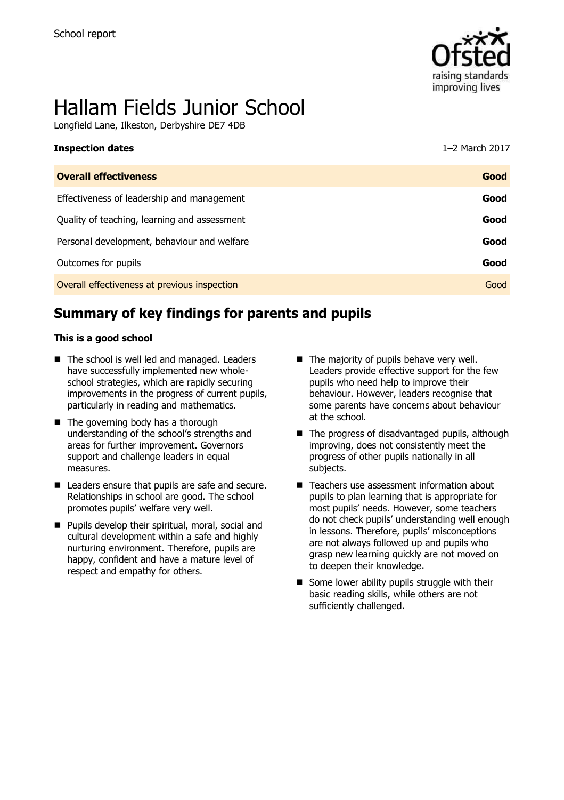

# Hallam Fields Junior School

Longfield Lane, Ilkeston, Derbyshire DE7 4DB

| <b>Inspection dates</b>                      | 1-2 March 2017 |
|----------------------------------------------|----------------|
| <b>Overall effectiveness</b>                 | Good           |
| Effectiveness of leadership and management   | Good           |
| Quality of teaching, learning and assessment | Good           |
| Personal development, behaviour and welfare  | Good           |
| Outcomes for pupils                          | Good           |
| Overall effectiveness at previous inspection | Good           |

# **Summary of key findings for parents and pupils**

#### **This is a good school**

- The school is well led and managed. Leaders have successfully implemented new wholeschool strategies, which are rapidly securing improvements in the progress of current pupils, particularly in reading and mathematics.
- The governing body has a thorough understanding of the school's strengths and areas for further improvement. Governors support and challenge leaders in equal measures.
- Leaders ensure that pupils are safe and secure. Relationships in school are good. The school promotes pupils' welfare very well.
- **Pupils develop their spiritual, moral, social and** cultural development within a safe and highly nurturing environment. Therefore, pupils are happy, confident and have a mature level of respect and empathy for others.
- The majority of pupils behave very well. Leaders provide effective support for the few pupils who need help to improve their behaviour. However, leaders recognise that some parents have concerns about behaviour at the school.
- $\blacksquare$  The progress of disadvantaged pupils, although improving, does not consistently meet the progress of other pupils nationally in all subjects.
- Teachers use assessment information about pupils to plan learning that is appropriate for most pupils' needs. However, some teachers do not check pupils' understanding well enough in lessons. Therefore, pupils' misconceptions are not always followed up and pupils who grasp new learning quickly are not moved on to deepen their knowledge.
- $\blacksquare$  Some lower ability pupils struggle with their basic reading skills, while others are not sufficiently challenged.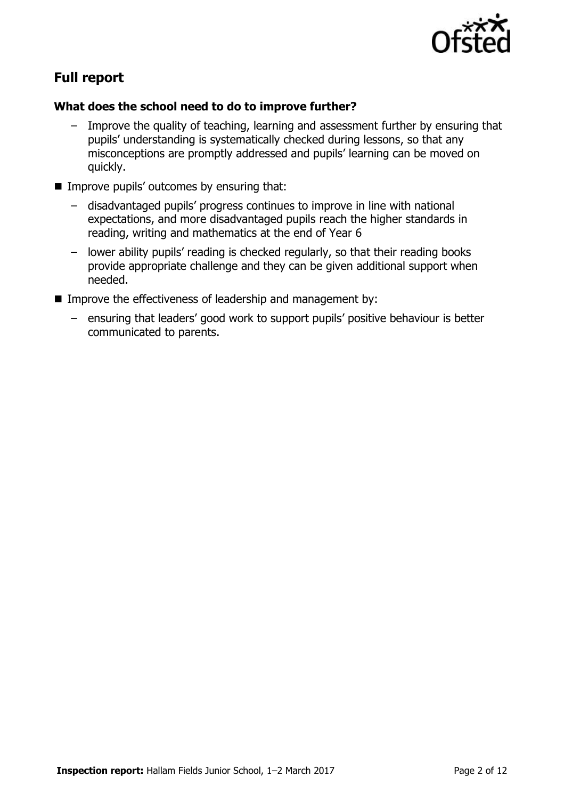

# **Full report**

#### **What does the school need to do to improve further?**

- Improve the quality of teaching, learning and assessment further by ensuring that pupils' understanding is systematically checked during lessons, so that any misconceptions are promptly addressed and pupils' learning can be moved on quickly.
- $\blacksquare$  Improve pupils' outcomes by ensuring that:
	- disadvantaged pupils' progress continues to improve in line with national expectations, and more disadvantaged pupils reach the higher standards in reading, writing and mathematics at the end of Year 6
	- lower ability pupils' reading is checked regularly, so that their reading books provide appropriate challenge and they can be given additional support when needed.
- **IMPROVE the effectiveness of leadership and management by:** 
	- ensuring that leaders' good work to support pupils' positive behaviour is better communicated to parents.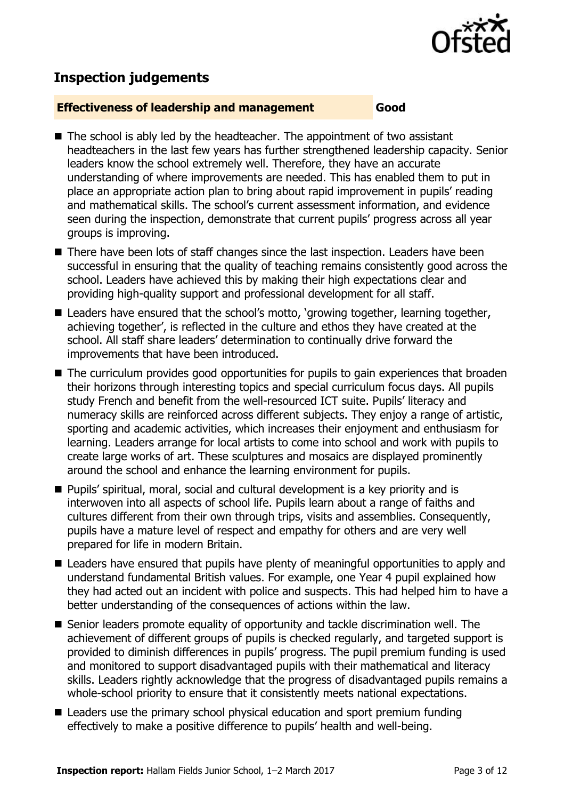

# **Inspection judgements**

#### **Effectiveness of leadership and management Good**

- The school is ably led by the headteacher. The appointment of two assistant headteachers in the last few years has further strengthened leadership capacity. Senior leaders know the school extremely well. Therefore, they have an accurate understanding of where improvements are needed. This has enabled them to put in place an appropriate action plan to bring about rapid improvement in pupils' reading and mathematical skills. The school's current assessment information, and evidence seen during the inspection, demonstrate that current pupils' progress across all year groups is improving.
- There have been lots of staff changes since the last inspection. Leaders have been successful in ensuring that the quality of teaching remains consistently good across the school. Leaders have achieved this by making their high expectations clear and providing high-quality support and professional development for all staff.
- Leaders have ensured that the school's motto, 'growing together, learning together, achieving together', is reflected in the culture and ethos they have created at the school. All staff share leaders' determination to continually drive forward the improvements that have been introduced.
- The curriculum provides good opportunities for pupils to gain experiences that broaden their horizons through interesting topics and special curriculum focus days. All pupils study French and benefit from the well-resourced ICT suite. Pupils' literacy and numeracy skills are reinforced across different subjects. They enjoy a range of artistic, sporting and academic activities, which increases their enjoyment and enthusiasm for learning. Leaders arrange for local artists to come into school and work with pupils to create large works of art. These sculptures and mosaics are displayed prominently around the school and enhance the learning environment for pupils.
- Pupils' spiritual, moral, social and cultural development is a key priority and is interwoven into all aspects of school life. Pupils learn about a range of faiths and cultures different from their own through trips, visits and assemblies. Consequently, pupils have a mature level of respect and empathy for others and are very well prepared for life in modern Britain.
- Leaders have ensured that pupils have plenty of meaningful opportunities to apply and understand fundamental British values. For example, one Year 4 pupil explained how they had acted out an incident with police and suspects. This had helped him to have a better understanding of the consequences of actions within the law.
- Senior leaders promote equality of opportunity and tackle discrimination well. The achievement of different groups of pupils is checked regularly, and targeted support is provided to diminish differences in pupils' progress. The pupil premium funding is used and monitored to support disadvantaged pupils with their mathematical and literacy skills. Leaders rightly acknowledge that the progress of disadvantaged pupils remains a whole-school priority to ensure that it consistently meets national expectations.
- Leaders use the primary school physical education and sport premium funding effectively to make a positive difference to pupils' health and well-being.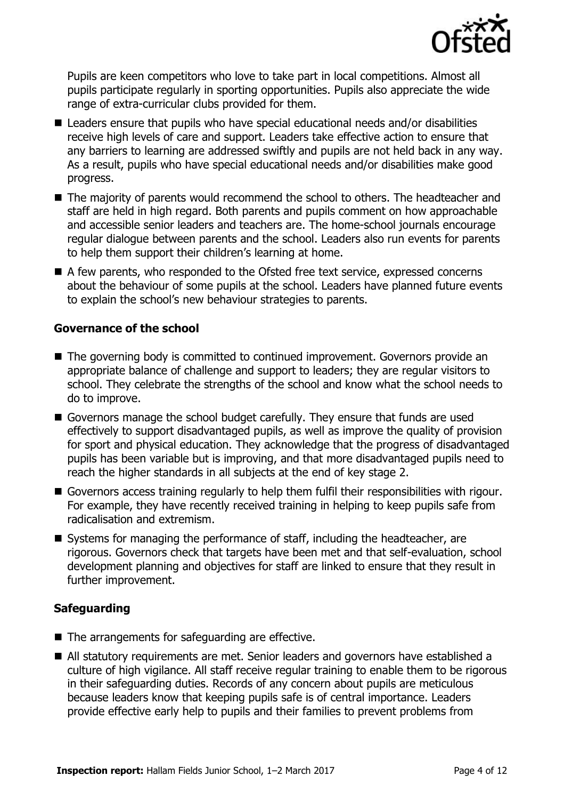

Pupils are keen competitors who love to take part in local competitions. Almost all pupils participate regularly in sporting opportunities. Pupils also appreciate the wide range of extra-curricular clubs provided for them.

- Leaders ensure that pupils who have special educational needs and/or disabilities receive high levels of care and support. Leaders take effective action to ensure that any barriers to learning are addressed swiftly and pupils are not held back in any way. As a result, pupils who have special educational needs and/or disabilities make good progress.
- The majority of parents would recommend the school to others. The headteacher and staff are held in high regard. Both parents and pupils comment on how approachable and accessible senior leaders and teachers are. The home-school journals encourage regular dialogue between parents and the school. Leaders also run events for parents to help them support their children's learning at home.
- A few parents, who responded to the Ofsted free text service, expressed concerns about the behaviour of some pupils at the school. Leaders have planned future events to explain the school's new behaviour strategies to parents.

#### **Governance of the school**

- The governing body is committed to continued improvement. Governors provide an appropriate balance of challenge and support to leaders; they are regular visitors to school. They celebrate the strengths of the school and know what the school needs to do to improve.
- Governors manage the school budget carefully. They ensure that funds are used effectively to support disadvantaged pupils, as well as improve the quality of provision for sport and physical education. They acknowledge that the progress of disadvantaged pupils has been variable but is improving, and that more disadvantaged pupils need to reach the higher standards in all subjects at the end of key stage 2.
- Governors access training regularly to help them fulfil their responsibilities with rigour. For example, they have recently received training in helping to keep pupils safe from radicalisation and extremism.
- Systems for managing the performance of staff, including the headteacher, are rigorous. Governors check that targets have been met and that self-evaluation, school development planning and objectives for staff are linked to ensure that they result in further improvement.

#### **Safeguarding**

- The arrangements for safeguarding are effective.
- All statutory requirements are met. Senior leaders and governors have established a culture of high vigilance. All staff receive regular training to enable them to be rigorous in their safeguarding duties. Records of any concern about pupils are meticulous because leaders know that keeping pupils safe is of central importance. Leaders provide effective early help to pupils and their families to prevent problems from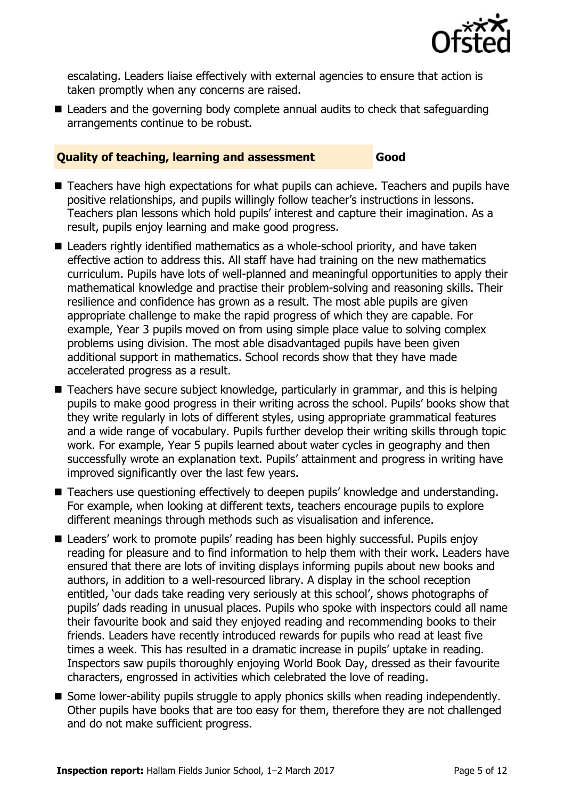

escalating. Leaders liaise effectively with external agencies to ensure that action is taken promptly when any concerns are raised.

■ Leaders and the governing body complete annual audits to check that safeguarding arrangements continue to be robust.

#### **Quality of teaching, learning and assessment Good**

- Teachers have high expectations for what pupils can achieve. Teachers and pupils have positive relationships, and pupils willingly follow teacher's instructions in lessons. Teachers plan lessons which hold pupils' interest and capture their imagination. As a result, pupils enjoy learning and make good progress.
- Leaders rightly identified mathematics as a whole-school priority, and have taken effective action to address this. All staff have had training on the new mathematics curriculum. Pupils have lots of well-planned and meaningful opportunities to apply their mathematical knowledge and practise their problem-solving and reasoning skills. Their resilience and confidence has grown as a result. The most able pupils are given appropriate challenge to make the rapid progress of which they are capable. For example, Year 3 pupils moved on from using simple place value to solving complex problems using division. The most able disadvantaged pupils have been given additional support in mathematics. School records show that they have made accelerated progress as a result.
- Teachers have secure subject knowledge, particularly in grammar, and this is helping pupils to make good progress in their writing across the school. Pupils' books show that they write regularly in lots of different styles, using appropriate grammatical features and a wide range of vocabulary. Pupils further develop their writing skills through topic work. For example, Year 5 pupils learned about water cycles in geography and then successfully wrote an explanation text. Pupils' attainment and progress in writing have improved significantly over the last few years.
- Teachers use questioning effectively to deepen pupils' knowledge and understanding. For example, when looking at different texts, teachers encourage pupils to explore different meanings through methods such as visualisation and inference.
- Leaders' work to promote pupils' reading has been highly successful. Pupils enjoy reading for pleasure and to find information to help them with their work. Leaders have ensured that there are lots of inviting displays informing pupils about new books and authors, in addition to a well-resourced library. A display in the school reception entitled, 'our dads take reading very seriously at this school', shows photographs of pupils' dads reading in unusual places. Pupils who spoke with inspectors could all name their favourite book and said they enjoyed reading and recommending books to their friends. Leaders have recently introduced rewards for pupils who read at least five times a week. This has resulted in a dramatic increase in pupils' uptake in reading. Inspectors saw pupils thoroughly enjoying World Book Day, dressed as their favourite characters, engrossed in activities which celebrated the love of reading.
- Some lower-ability pupils struggle to apply phonics skills when reading independently. Other pupils have books that are too easy for them, therefore they are not challenged and do not make sufficient progress.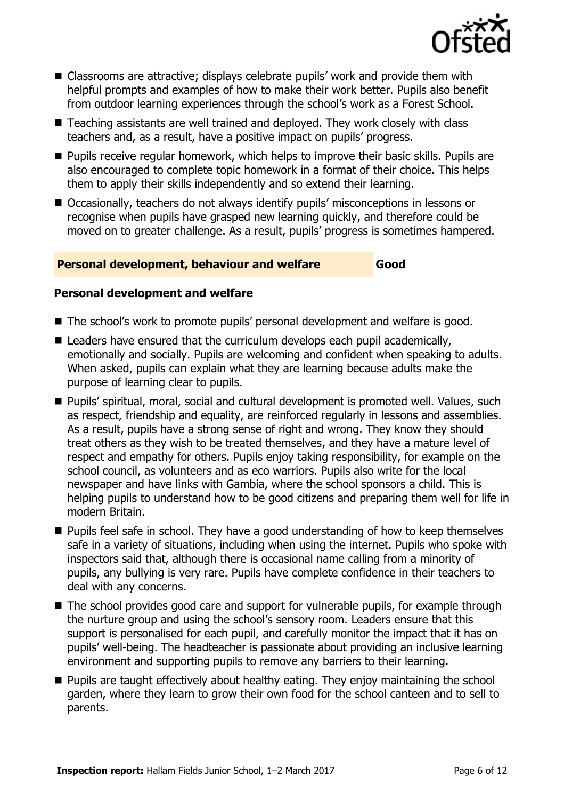

- Classrooms are attractive; displays celebrate pupils' work and provide them with helpful prompts and examples of how to make their work better. Pupils also benefit from outdoor learning experiences through the school's work as a Forest School.
- Teaching assistants are well trained and deployed. They work closely with class teachers and, as a result, have a positive impact on pupils' progress.
- **Pupils receive regular homework, which helps to improve their basic skills. Pupils are** also encouraged to complete topic homework in a format of their choice. This helps them to apply their skills independently and so extend their learning.
- Occasionally, teachers do not always identify pupils' misconceptions in lessons or recognise when pupils have grasped new learning quickly, and therefore could be moved on to greater challenge. As a result, pupils' progress is sometimes hampered.

#### **Personal development, behaviour and welfare Good**

#### **Personal development and welfare**

- The school's work to promote pupils' personal development and welfare is good.
- $\blacksquare$  Leaders have ensured that the curriculum develops each pupil academically, emotionally and socially. Pupils are welcoming and confident when speaking to adults. When asked, pupils can explain what they are learning because adults make the purpose of learning clear to pupils.
- Pupils' spiritual, moral, social and cultural development is promoted well. Values, such as respect, friendship and equality, are reinforced regularly in lessons and assemblies. As a result, pupils have a strong sense of right and wrong. They know they should treat others as they wish to be treated themselves, and they have a mature level of respect and empathy for others. Pupils enjoy taking responsibility, for example on the school council, as volunteers and as eco warriors. Pupils also write for the local newspaper and have links with Gambia, where the school sponsors a child. This is helping pupils to understand how to be good citizens and preparing them well for life in modern Britain.
- **Pupils feel safe in school. They have a good understanding of how to keep themselves** safe in a variety of situations, including when using the internet. Pupils who spoke with inspectors said that, although there is occasional name calling from a minority of pupils, any bullying is very rare. Pupils have complete confidence in their teachers to deal with any concerns.
- The school provides good care and support for vulnerable pupils, for example through the nurture group and using the school's sensory room. Leaders ensure that this support is personalised for each pupil, and carefully monitor the impact that it has on pupils' well-being. The headteacher is passionate about providing an inclusive learning environment and supporting pupils to remove any barriers to their learning.
- **Pupils are taught effectively about healthy eating. They enjoy maintaining the school** garden, where they learn to grow their own food for the school canteen and to sell to parents.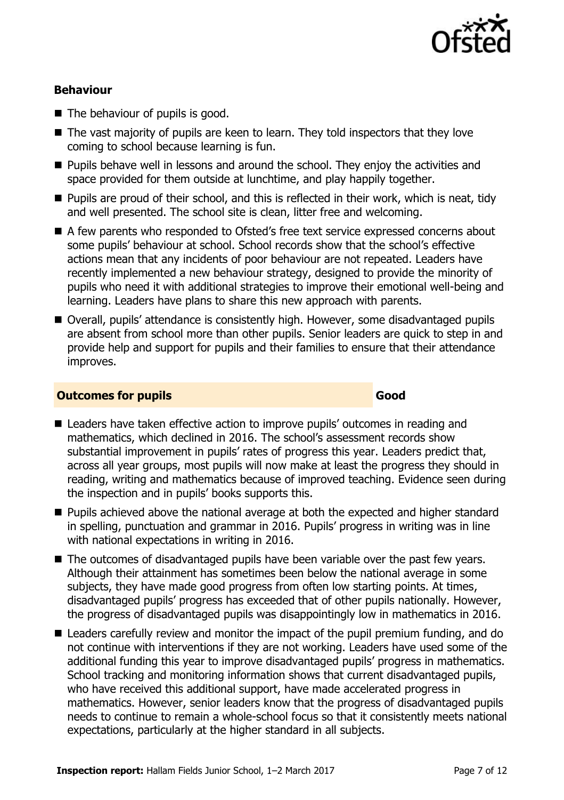

### **Behaviour**

- The behaviour of pupils is good.
- The vast majority of pupils are keen to learn. They told inspectors that they love coming to school because learning is fun.
- **Pupils behave well in lessons and around the school. They enjoy the activities and** space provided for them outside at lunchtime, and play happily together.
- **Pupils are proud of their school, and this is reflected in their work, which is neat, tidy** and well presented. The school site is clean, litter free and welcoming.
- A few parents who responded to Ofsted's free text service expressed concerns about some pupils' behaviour at school. School records show that the school's effective actions mean that any incidents of poor behaviour are not repeated. Leaders have recently implemented a new behaviour strategy, designed to provide the minority of pupils who need it with additional strategies to improve their emotional well-being and learning. Leaders have plans to share this new approach with parents.
- Overall, pupils' attendance is consistently high. However, some disadvantaged pupils are absent from school more than other pupils. Senior leaders are quick to step in and provide help and support for pupils and their families to ensure that their attendance improves.

### **Outcomes for pupils Good**

- Leaders have taken effective action to improve pupils' outcomes in reading and mathematics, which declined in 2016. The school's assessment records show substantial improvement in pupils' rates of progress this year. Leaders predict that, across all year groups, most pupils will now make at least the progress they should in reading, writing and mathematics because of improved teaching. Evidence seen during the inspection and in pupils' books supports this.
- **Pupils achieved above the national average at both the expected and higher standard** in spelling, punctuation and grammar in 2016. Pupils' progress in writing was in line with national expectations in writing in 2016.
- The outcomes of disadvantaged pupils have been variable over the past few vears. Although their attainment has sometimes been below the national average in some subjects, they have made good progress from often low starting points. At times, disadvantaged pupils' progress has exceeded that of other pupils nationally. However, the progress of disadvantaged pupils was disappointingly low in mathematics in 2016.
- Leaders carefully review and monitor the impact of the pupil premium funding, and do not continue with interventions if they are not working. Leaders have used some of the additional funding this year to improve disadvantaged pupils' progress in mathematics. School tracking and monitoring information shows that current disadvantaged pupils, who have received this additional support, have made accelerated progress in mathematics. However, senior leaders know that the progress of disadvantaged pupils needs to continue to remain a whole-school focus so that it consistently meets national expectations, particularly at the higher standard in all subjects.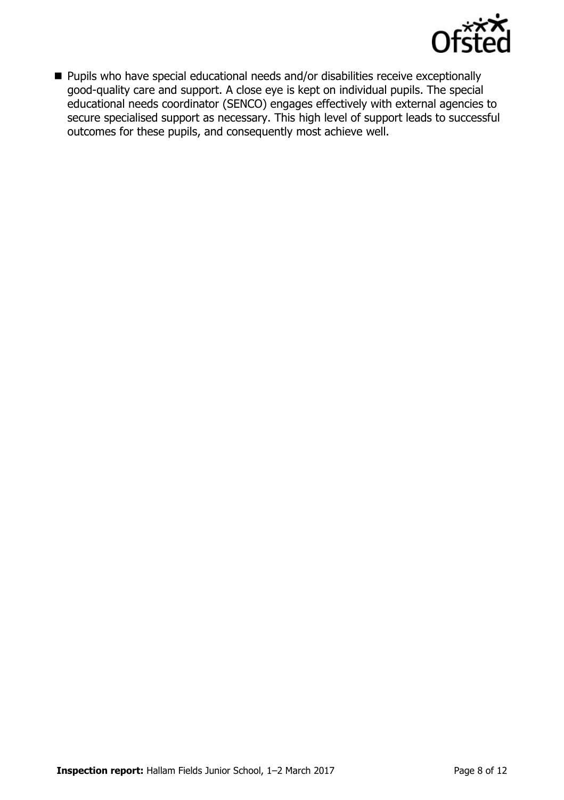

■ Pupils who have special educational needs and/or disabilities receive exceptionally good-quality care and support. A close eye is kept on individual pupils. The special educational needs coordinator (SENCO) engages effectively with external agencies to secure specialised support as necessary. This high level of support leads to successful outcomes for these pupils, and consequently most achieve well.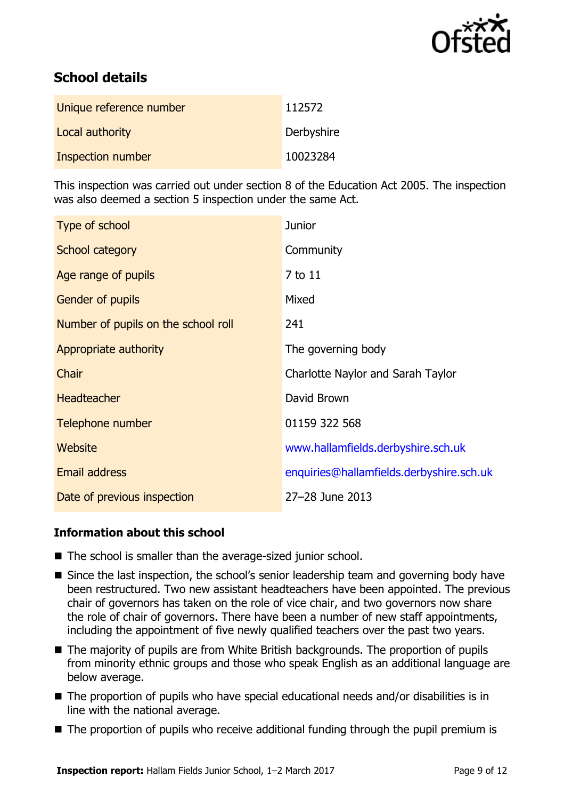

# **School details**

| Unique reference number | 112572     |
|-------------------------|------------|
| Local authority         | Derbyshire |
| Inspection number       | 10023284   |

This inspection was carried out under section 8 of the Education Act 2005. The inspection was also deemed a section 5 inspection under the same Act.

| Type of school                      | <b>Junior</b>                            |
|-------------------------------------|------------------------------------------|
| School category                     | Community                                |
| Age range of pupils                 | 7 to 11                                  |
| Gender of pupils                    | Mixed                                    |
| Number of pupils on the school roll | 241                                      |
| Appropriate authority               | The governing body                       |
| Chair                               | Charlotte Naylor and Sarah Taylor        |
| <b>Headteacher</b>                  | David Brown                              |
| Telephone number                    | 01159 322 568                            |
| Website                             | www.hallamfields.derbyshire.sch.uk       |
| Email address                       | enquiries@hallamfields.derbyshire.sch.uk |
| Date of previous inspection         | 27-28 June 2013                          |

#### **Information about this school**

- The school is smaller than the average-sized junior school.
- Since the last inspection, the school's senior leadership team and governing body have been restructured. Two new assistant headteachers have been appointed. The previous chair of governors has taken on the role of vice chair, and two governors now share the role of chair of governors. There have been a number of new staff appointments, including the appointment of five newly qualified teachers over the past two years.
- The majority of pupils are from White British backgrounds. The proportion of pupils from minority ethnic groups and those who speak English as an additional language are below average.
- The proportion of pupils who have special educational needs and/or disabilities is in line with the national average.
- The proportion of pupils who receive additional funding through the pupil premium is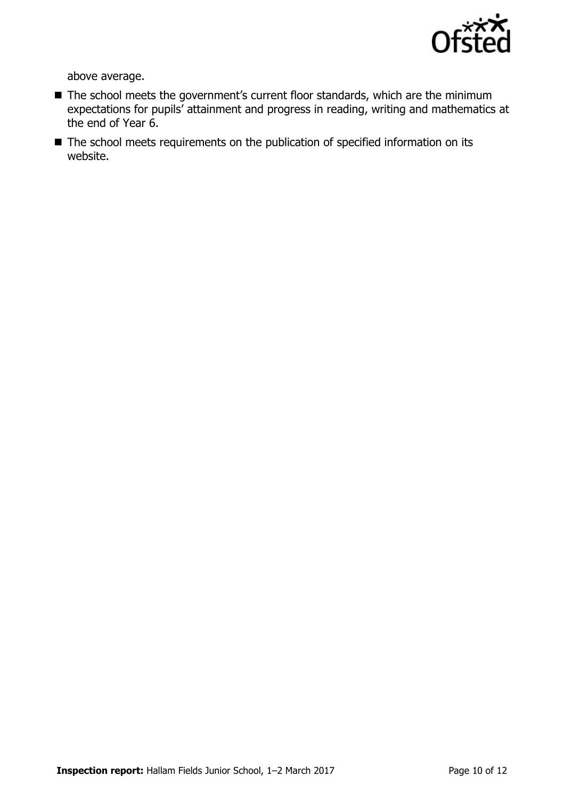

above average.

- The school meets the government's current floor standards, which are the minimum expectations for pupils' attainment and progress in reading, writing and mathematics at the end of Year 6.
- The school meets requirements on the publication of specified information on its website.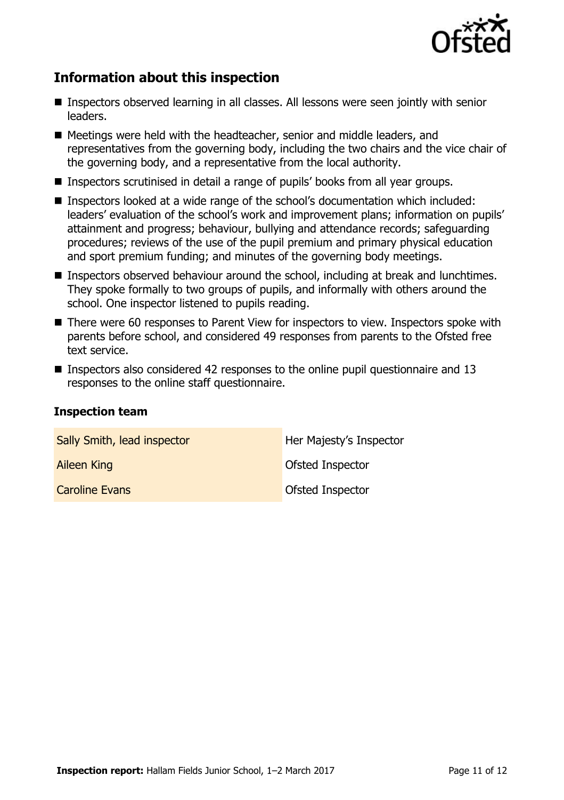

# **Information about this inspection**

- Inspectors observed learning in all classes. All lessons were seen jointly with senior leaders.
- Meetings were held with the headteacher, senior and middle leaders, and representatives from the governing body, including the two chairs and the vice chair of the governing body, and a representative from the local authority.
- Inspectors scrutinised in detail a range of pupils' books from all year groups.
- Inspectors looked at a wide range of the school's documentation which included: leaders' evaluation of the school's work and improvement plans; information on pupils' attainment and progress; behaviour, bullying and attendance records; safeguarding procedures; reviews of the use of the pupil premium and primary physical education and sport premium funding; and minutes of the governing body meetings.
- **Inspectors observed behaviour around the school, including at break and lunchtimes.** They spoke formally to two groups of pupils, and informally with others around the school. One inspector listened to pupils reading.
- There were 60 responses to Parent View for inspectors to view. Inspectors spoke with parents before school, and considered 49 responses from parents to the Ofsted free text service.
- **Inspectors also considered 42 responses to the online pupil questionnaire and 13** responses to the online staff questionnaire.

#### **Inspection team**

| Sally Smith, lead inspector | Her Majesty's Inspector |
|-----------------------------|-------------------------|
| <b>Aileen King</b>          | Ofsted Inspector        |
| <b>Caroline Evans</b>       | Ofsted Inspector        |